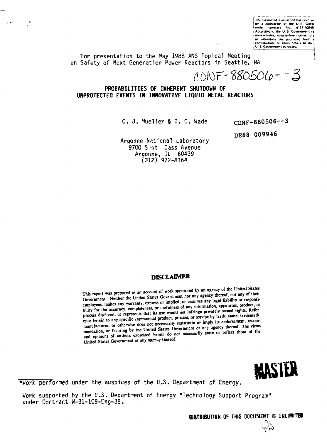**The submitted manuscript has been as** by a contractor of the U.S. Gover<br>under contract No. W-31-109-&<br>Accordingly, the U.S. Government re **nonexclusive, royalty-free licente to | or reproduce the published form**  $\vec{a}$ <br>contribution, or allow others to do {<br>U. S. Government purposes.

For presentation to the May 1988 ANS Topical Meeting on Safety of Next Generation Power Reactors in Seattle, WA

 $\Delta$  and  $\Delta$  and  $\Delta$ 

 $10NF - 880506 - 3$ 

**PROBABILITIES OF INHERENT SHUTDOWN OF UNPROTECTED EVENTS IN INNOVATIVE LIQUID HETAL REACTORS**

C. J. Mueller & D. C. Wade

cONF-880506—3

DE88 **009946**

Argonne N?t"onal Laboratory 9700 S ut Cass Avenue Argonne, IL 60439 (312) 972-8164

## **DISCLAIMER**

This report was prepared as an account of work sponsored by an agency of the United States This report was prepared as an account of work sponsored by an agency of the Context<br>Government. Neither the United States Government nor any agency thereof, nor any of their<br>Government. Neither the United States Governmen Government. Neither the United States Government nor any agency mercon, nor any comment.<br>employees, makes any warranty, express or implied, or assumes any legal liability or responsi-<br>employees, makes any warranty, express employees, makes any warranty, express or implied, or assumes any regard nature, or experience.<br>bility for the accuracy, completeness, or usefulness of any information, apparatus, product, or<br>contact the stress would not i bility for the accuracy, completeness, or usefulness of any information, apparation, process<br>process disclosed, or represents that its use would not infringe privately owned rights. Referprocess disclosed, or represents that its use would not intringe privately office there is the process disclosed, or represents that its use would not intringe privately office name, trademark, ence herein to any specific ence herein to any specific commercial product, process, or service by these hands, there is encom-<br>manufacturer, or otherwise does not necessarily constitute or imply its endorsement, recom-<br>manufacturer, or otherwise doe manufacturer, or otherwise does not necessarily constitute or *inpit* its chooseneed. The views<br>mendation, or favoring by the United States Government or any agency thereof. The views<br>mendation, or favoring by the United S and opinions of authors expressed herein do not necessarily state or reflect those of the United States Government or any agency thereof.



•Work performed under the auspices of the U.S. Department of Energy.

Work supported by the U.S. Department of Energy "Technology Support Program" under Contract W-31-109-Eng-38.

**DISTRIBUTION** OF THIS DOCUMENT IS **UNUMITGI**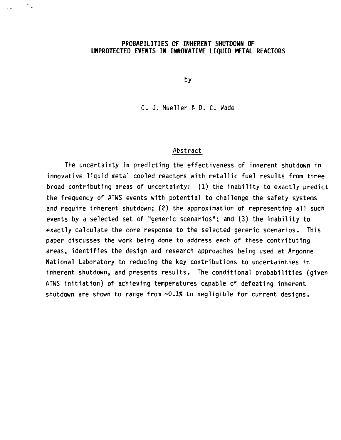### **PROBABILITIES OF INHERENT SHUTDOWN OF UNPROTECTED EVENTS IN INNOVATIVE LIQUID METAL** REACTORS

by

C. J. Mueller & D. C. Wade

#### Abstract

The uncertainty in predicting the effectiveness of inherent shutdown in innovative liquid metal cooled reactors with metallic fuel results from three broad contributing areas of uncertainty: (1) the inability to exactly predict the frequency of ATWS events with potential to challenge the safety systems and require inherent shutdown; (2) the approximation of representing all such events by a selected set of "generic scenarios"; and (3) the inability to exactly calculate the core response to the selected generic scenarios. This paper discusses the work being done to address each of these contributing areas, identifies the design and research approaches being used at Argonne National Laboratory to reducing the key contributions to uncertainties in inherent shutdown, and presents results. The conditional probabilities (given ATWS initiation) of achieving temperatures capable of defeating inherent shutdown are shown to range from  $\sim 0.1\%$  to negligible for current designs.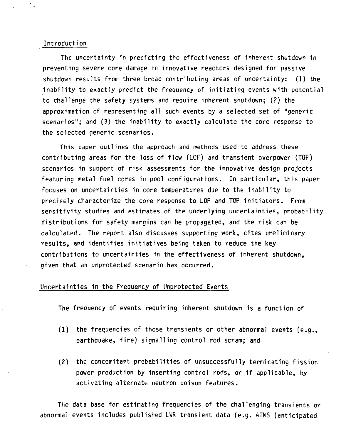#### **Introduction**

 $\sim$ 

**The uncertainty in predicting the effectiveness of inherent shutdown in preventing severe core damage in innovative reactors designed for passive shutdown results from three broad contributing areas of uncertainty: (1) the inability to exactly predict the frequency of initiating events with potential to challenge the safety systems and require inherent shutdown; (2) the approximation of representing all such events by a selected set of "generic scenarios"; and (3) the inability to exactly calculate the core response to the selected generic scenarios.**

**This paper outlines the approach and methods used to address these contributing areas for the loss of flow (LOF) and transient overpower (TOP) scenarios in support of risk assessments for the innovative design projects featuring metal fuel cores in pool configurations. In particular, this paper focuses on uncertainties in core temperatures due to the inability to precisely characterize the core response to LOF and TOP initiators. From sensitivity studies and estimates of the underlying uncertainties, probability distributions for safety margins can be propagated, and the risk can be calculated. The report also discusses supporting work, cites preliminary results, and identifies initiatives being taken to reduce the key contributions to uncertainties in the effectiveness of inherent shutdown, given that an unprotected scenario has occurred.**

#### **Uncertainties in the Frequency of Unprotected Events**

**The freouency of events requiring inherent shutdown is a function of**

- **(1) the frequencies of those transients or other abnormal events (e.g., earthquake, fire) signalling control rod scram; and**
- **(2) the concomitant probabilities of unsuccessfully terminating fission power production by inserting control rods, or if applicable, by activating alternate neutron poison features.**

**The data base for estimating frequencies of the challenging transients or abnormal events includes published LWR transient data (e.g. ATWS (anticipated**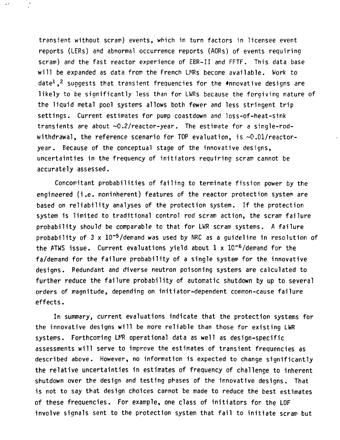**transient without scram) events, which in turn factors in licensee event reports (LERs) and abnormal occurrence reports (AORs) of events requiring scram) and the fast reactor experience of EER-II and FFTF. This data base will be expanded as data from the French LMRs become available. Work to date<sup>1</sup>, <sup>2</sup> suggests that transient frequencies for the \*nnovative designs are likely to be significantly less than for LWRs because the forgiving nature of the liquid metal pool systems allows both fewer and less stringent trip settings. Current estimates for pump coastdown and loss-of-heat-sink transients are about ~0.2/reactor-year. The estimate for a single-rodwithdrawal, the reference scenario for TOP evaluation, is ~0.01/reactoryear. Because of the conceptual stage of the innovative designs, uncertainties in the frequency of initiators requiring scram cannot be accurately assessed.**

**Concomitant probabilities of failing to terminate fission power by the engineered (i.e. noninherent) features of the reactor protection system are based on reliability analyses of the protection system. If the protection system is limited to traditional control rod scram action, the scram failure probability should be comparable to that for LWR scram systems. A failure probability of 3 x 10~<sup>5</sup>/demand was used by NRC as a guideline in resolution of the ATWS issue. Current evaluations yield about 1 x lC"<sup>6</sup>/demand for the fa/demand for the failure probability of a single system for the innovative designs. Redundant and diverse neutron poisoning systems are calculated to further reduce the failure probability of automatic shutdown by up to several orders of magnitude, depending on initiator-dependent ccwmon-cause failure effects.**

**In summary, current evaluations indicate that the protection systems for the innovative designs will be more reliable than those for existing LWR systems. Forthcoming LMR operational data as well as design-specific assessments will serve to improve the estimates of transient frequencies as described above. However, no information is expected to change significantly the relative uncertainties in estimates of frequency of challenge to inherent shutdown over the design and testing phases of the innovative designs. That is not to say that design choices cannot be made to reduce the best estimates of these frequencies. For example, one class of initiators for the LOF involve signals sent to the protection system that fail to initiate scram but**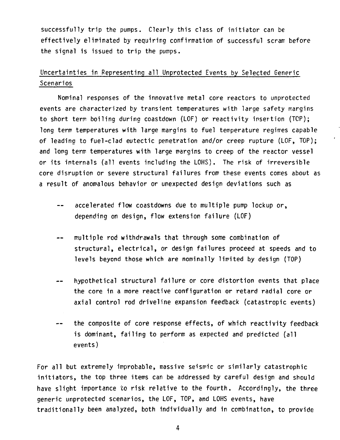**successfully trip the pumps. Clearly this class of initiator can be effectively eliminated by requiring confirmation of successful scram, before the signal is issued to trip the pumps.**

## **Uncertainties in Representing all Unprotected Events by Selected Generic Scenarios**

**Nominal responses of the innovative metal core reactors to unprotected events are characterized by transient temperatures with large safety margins to short term boiling during coastdown (LOF) or reactivity insertion (TCP); long term temperatures with large margins to fuel temperature regimes capable of leading to fuel-clad eutectic penetration and/or creep rupture (LOF, TOP); and long term temperatures with large margins to creep of the reactor vessel or its internals (all events including the LOHS). The risk of irreversible core disruption or severe structural failures from these events comes about as a result of anomalous behavior or unexpected design deviations such as**

- **accelerated flow coastdowns due to multiple pump lockup or,**  $-$ **depending on design, flow extension failure (LOF)**
- **multiple rod withdrawals that through some combination of**  $\overline{\phantom{a}}$ **structural, electrical, or design failures proceed at speeds and to levels beyond those which are nominally limited by design (TOP)**
- **hypothetical structural failure or core distortion events that place**  $\overline{a}$ **the core in a more reactive configuration or retard radial core or axial control rod driveline expansion feedback (catastropic events)**
- **the composite of core response effects, of which reactivity feedback**  $\overline{\phantom{m}}$ **is dominant, failing to perform as expected and predicted (all events)**

**For all but extremely improbable, massive seismic or similarly catastrophic initiators, the top three items can be addressed by careful design and should have slight importance to risk relative to the fourth. Accordingly, the three generic unprotected scenarios, the LOF, TOP, and LOHS events, have traditionally been analyzed, both individually and in combination, to provide**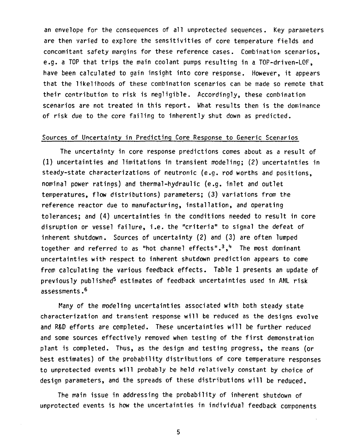**an envelope for the consequences of all unprotected sequences. Key parameters are then varied to explore the sensitivities of core temperature fields and concomitant safety margins for these reference cases. Combination scenarios, e.g. a TOP that trips the main coolant pumps resulting in a TOP-driven-LOF, have been calculated to gain insight into core response. However, it appears that the likelihoods of these combination scenarios can be made so remote that their contribution to risk is negligible. Accordingly, these combination scenarios are not treated in this report. What results then is the dominance of risk due to the core failing to inherently shut down as predicted.**

## **Sources of Uncertainty in Predicting Core Response to Generic Scenarios**

**The uncertainty in core response predictions comes about as a result of (1) uncertainties and limitations in transient modeling; (2) uncertainties in steady-state characterizations of neutronic (e.g. rod worths and positions, nominal power ratings) and thermal-hydraulic (e.g. inlet and outlet temperatures, flow distributions) parameters; (3) variations from the reference reactor due to manufacturing, installation, and operating tolerances; and (4) uncertainties in the conditions needed to result in core disruption or vessel failure, i.e. the "criteria" to signal the defeat of inherent shutdown. Sources of uncertainty (2) and (3) are often lumped together and referred to as "hot channel effects".<sup>3</sup>, <sup>1</sup>\* The most dominant uncertainties with respect to inherent shutdown prediction appears to come from calculating the various feedback effects. Table 1 presents an update of previously published<sup>5</sup> estimates of feedback uncertainties used in ANL risk assessments . 6**

**Many of the modeling uncertainties associated with both steady state characterization and transient response will be reduced as the designs evolve and R&D efforts are completed. These uncertainties will be further reduced and some sources effectively removed when testing of the first demonstration plant is completed. Thus, as the design and testing progress, the rreans (or best estimates) of the probability distributions of core temperature responses to unprotected events will probably be held relatively constant by choice of design parameters, and the spreads of these distributions will be reduced.**

**The main issue in addressing the probability of inherent shutdown of unprotected events is how the uncertainties in individual feedback components**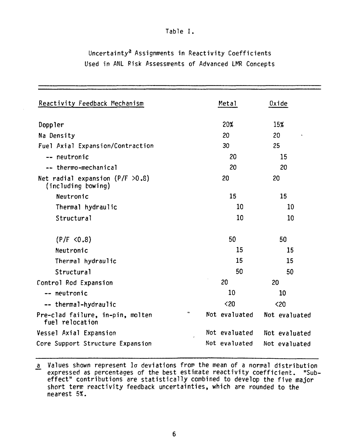## **Table I.**

# **Uncertainty<sup>3</sup> Assignments in Reactivity Coefficients Used in ANL Risk Assessments of Advanced LMR Concepts**

| Reactivity Feedback Mechanism                              |           | Metal         | Oxide         |
|------------------------------------------------------------|-----------|---------------|---------------|
| Doppler                                                    |           | 20%           | 15%           |
| Na Density                                                 |           | 20            | 20            |
| Fuel Axial Expansion/Contraction                           |           | 30            | 25            |
| -- neutronic                                               |           | 20            | 15            |
| -- thermo-mechanical                                       |           | 20            | 20            |
| Net radial expansion ( $P/F > 0.8$ )<br>(including bowing) |           | 20            | 20            |
| Neutronic                                                  |           | 15            | 15            |
| Thermal hydraulic                                          |           | 10            | 10            |
| Structural                                                 |           | 10            | 10            |
| (P/F < 0.8)                                                |           | 50            | 50            |
| Neutronic                                                  |           | 15            | 15            |
| Thermal hydraulic                                          |           | 15            | 15            |
| Structural                                                 |           | 50            | 50            |
| Control Rod Expansion                                      |           | 20            | 20            |
| -- neutronic                                               |           | 10            | 10            |
| -- thermal-hydraulic                                       |           | $20$          | $20$          |
| Pre-clad failure, in-pin, molten<br>fuel relocation        | $\approx$ | Not evaluated | Not evaluated |
| Vessel Axial Expansion                                     |           | Not evaluated | Not evaluated |
| Core Support Structure Expansion                           |           | Not evaluated | Not evaluated |

**Values shown represent la deviations from the mean of a normal distribution expressed as percentages of the best estimate reactivity coefficient. "Subeffect" contributions are statistically combined to develop the five major short term reactivity feedback uncertainties, which are rounded to the nearest 5%.**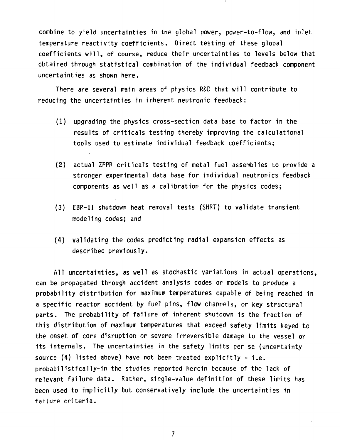**combine to yield uncertainties in the global power, power-to-flow, and inlet temperature reactivity coefficients. Direct testing of these global coefficients will, of course, reduce their uncertainties to levels below that obtained through statistical combination of the individual feedback component uncertainties as shown here.**

**There are several main areas of physics R&D that will contribute to reducing the uncertainties in inherent neutronic feedback:**

- **(1) upgrading the physics cross-section data base to factor in the results of criticals testing thereby improving the calculational tools used to estimate individual feedback coefficients;**
- **(2) actual ZPPR criticals testing of metal fuel assemblies to provide a stronger experimental data base for individual neutronics feedback components as well as a calibration for the physics codes;**
- **(3) EBP-II shutdown heat removal tests (SHRT) to validate transient modeling codes; and**
- **(4) validating the codes predicting radial expansion effects as described previously.**

**All uncertainties, as well as stochastic variations in actual operations, can be propagated through accident analysis codes or models to produce a probability distribution for maximum temperatures capable of being reached in a specific reactor accident by fuel pins, flow channels, or key structural parts. The probability of failure of inherent shutdown is the fraction of this distribution of maximum temperatures that exceed safety limits keyed to the onset of core disruption or severe irreversible damage to the vessel or its internals. The uncertainties in the safety limits per se (uncertainty source (4) listed above) have not been treated explicitly - i.e. probabilistically-in the studies reported herein because of the lack of relevant failure data. Rather, single-value definition of these limits has been used to implicitly but conservatively include the uncertainties in failure criteria.**

 $\overline{7}$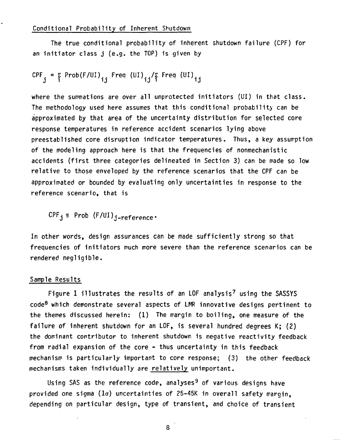**The true conditional probability of inherent shutdown failure (CPF) for an initiator class j (e.g. the TOP) is given by**

$$
CPF_j = \sum_{i} Prob(F/UI)_{ij} \text{Freq (UI)}_{ij} / \sum_{i} freq (UI)_{ij}
$$

**where the summations are over all unprotected initiators (UI) in that class. The methodology used here assumes that this conditional probability can be approximated by that area of the uncertainty distribution for selected core response temperatures in reference accident scenarios lying above preestablished core disruption indicator temperatures. Thus, a key assumption of the modeling approach here is that the frequencies of nonmechanistic accidents (first three categories delineated in Section 3) can be made so low relative to those enveloped by the reference scenarios that the CPF can be approximated or bounded by evaluating only uncertainties in response to the reference scenario, that is**

 $CPF_i \cong Prob$  (F/UI)<sub>i-reference</sub>.

**In other words, design assurances can be made sufficiently strong so that frequencies of initiators much more severe than the reference scenarios can be rendered negligible.**

## **Sample Results**

**Figure 1 illustrates the results of an LOF analysis<sup>7</sup> using the SASSYS code<sup>8</sup> which demonstrate several aspects of LMR innovative designs pertinent to the themes discussed herein: (1) The margin to boiling, one measure of the failure of inherent shutdown for an LOF, is several hundred degrees K; (2) the dominant contributor to inherent shutdown is negative reactivity feedback from radial expansion of the core - thus uncertainty in this feedback mechanism is particularly important to core response; (3) the other feedback** mechanisms taken individually are relatively unimportant.

**Using SAS as the reference code, analyses<sup>9</sup> of various designs have provided one sigma (la) uncertainties of 25-45K in overall safety margin, depending on particular design, type of transient, and choice of transient**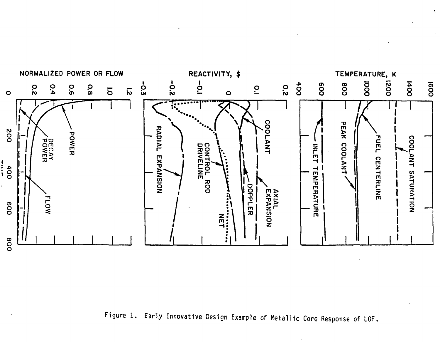

k,

**Figure 1. Early Innovative Design Example of Metallic Core Response of LCF**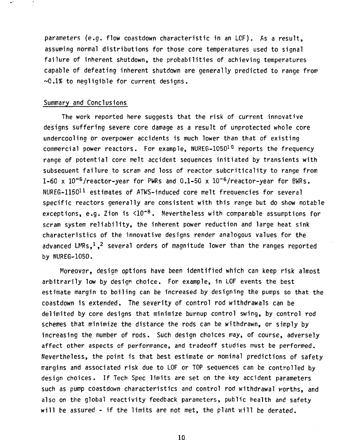**parameters (e.g. flow coastdown characteristic in an LCF). As a result, assuming normal distributions for those core temperatures used to signal failure of inherent shutdown, the probabilities of achieving temperatures capable of defeating inherent shutdown are generally predicted to range from ~0.1% to negligible for current designs.**

#### **Summary and Conclusions**

**The work reported here suggests that the risk of current innovative designs suffering severe core damage as a result of unprotected whole core undercooling or overpower accidents is much lower than that of existing commercial power reactors. For example, NURE6-1050<sup>10</sup> reports the frequency range of potential core melt accident sequences initiated by transients with subsequent failure to scram and loss of reactor subcriticality to range from 1-60 x 10~<sup>6</sup>/reactor-year for PWRs and 0.1-50 x 10"<sup>6</sup>/reactor-year for BWRs. NUREG-1150<sup>11</sup> estimates of ATWS-induced core melt frequencies for several specific reactors generally are consistent with this range but do show notable exceptions, e.g. Zion is <10~<sup>8</sup>. Nevertheless with comparable assumptions for scram system reliability, the inherent power reduction and large heat sink characteristics of the innovative designs render analogous values for the advanced LMRs,<sup>1</sup>, <sup>2</sup> several orders of magnitude lower than the ranges reported by NUREG-1050.**

**Moreover, design options have been identified which can keep risk almost arbitrarily low by design choice. For example, in LOF events the best estimate margin to boiling can be increased by designing the pumps so that the coastdown is extended. The severity of control rod withdrawals can be delimited by core designs that minimize burnup control swing, by control rod schemes that minimize the distance the rods can be withdrawn, or simply by increasing the number of rods. Such design choices may, of course, adversely affect other aspects of performance, and tradeoff studies must be performed. Nevertheless, the point is that best estimate or nominal predictions of safety margins and associated risk due to LOF or TOP sequences can be controlled by design choices. If Tech Spec limits are set on the key accident parameters such as pump coastdown characteristics and control rod withdrawal worths, and also on the global reactivity feedback parameters, public health and safety will be assured - if the limits are not met, the plant will be derated.**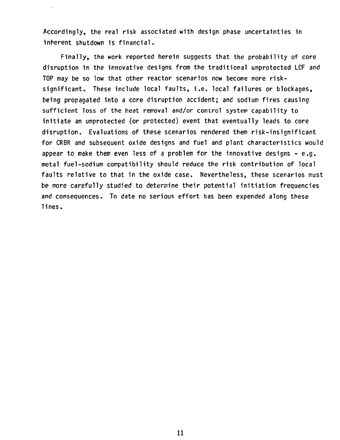**Accordingly, the real risk associated with design phase uncertainties in inherent shutdown is financial.**

**Finally, the work reported herein suggests that the probability of core disruption in the innovative designs from the traditional unprotected LOF and TOP may be so low that other reactor scenarios now become more risksignificant. These include local faults, i.e. local failures or blockages, being propagated into a cere disruption accident; and sodium fires causing sufficient loss of the heat removal and/or control system capability to initiate an unprotected (or protected) event that eventually leads to core disruption. Evaluations of these scenarios rendered them risk-insignificant for CRBR and subsequent oxide designs and fuel and plant characteristics would appear to make them even less of a problem for the innovative designs - e.g. metal fuel-sodium compatibility should reduce the risk contribution of local faults relative to that in the oxide case. Nevertheless, these scenarios must be more carefully studied to determine their potential initiation frequencies and consequences. To date no serious effort has been expended along these lines.**